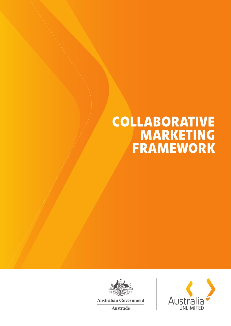# **COLLABORATIVE MARKETING FRAMEWORK**



**Australian Government** 

**Austrade** 

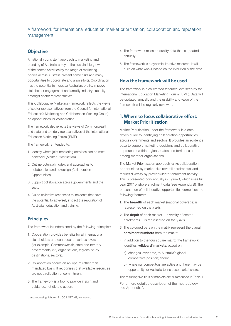#### A framework for international education market prioritisation, collaboration and reputation management.

#### **Objective**

A nationally consistent approach to marketing and branding of Australia is key to the sustainable growth of the sector. Activities by the range of marketing bodies across Australia present some risks and many opportunities to coordinate and align efforts. Coordination has the potential to increase Australia's profile, improve stakeholder engagement and amplify industry capacity amongst sector representatives.

This Collaborative Marketing Framework reflects the views of sector representatives (from the Council for International Education's Marketing and Collaboration Working Group) on opportunities for collaboration.

The framework also reflects the views of Commonwealth and state and terrirtory representatives of the International Education Marketing Forum (IEMF).

The framework is intended to:

- 1. Identify where joint marketing activities can be most beneficial (Market Prioritisation)
- 2. Outline potential models and approaches to collaboration and co-design (Collaboration Opportunities)
- 3. Support collaboration across governments and the sector
- 4. Guide collective responses to incidents that have the potential to adversely impact the reputation of Australian education and training.

# **Principles**

The framework is underpinned by the following principles:

- 1. Cooperation provides benefits for all international stakeholders and can occur at various levels (for example, Commonwealth, state and territory governments, city organisations, regions, study destinations, sectors).
- 2. Collaboration occurs on an 'opt-in', rather than mandated basis. It recognises that available resources are not a reflection of commitment.
- 3. The framework is a tool to provide insight and guidance, not dictate action.
- 4. The framework relies on quality data that is updated annually.
- 5. The framework is a dynamic, iterative resource. It will build on what works, based on the evolution of the data.

#### How the framework will be used

The framework is a co-created resource, overseen by the International Education Marketing Forum (IEMF). Data will be updated annually and the usability and value of the framework will be regularly reviewed.

#### 1. Where to focus collaborative effort: Market Prioritisation

Market Prioritisation under the framework is a datadriven guide to identifying collaboration opportunities across governments and sectors. It provides an evidence base to support marketing decisions and collaborative approaches within regions, states and territories or among member organisations.

The Market Prioritisation approach ranks collaboration opportunities by market size (overall enrolments), and market diversity by provider/sector enrolment activity. This is presented conceptually in Figure 1, which uses full year 2017 onshore enrolment data (see Appendix B). The presentation of collaborative opportunities comprises the following features:

- 1. The **breadth** of each market (national coverage) is represented on the x axis.
- 2. The **depth** of each market  $-$  diversity of sector<sup>1</sup> enrolments  $-$  is represented on the  $y$  axis.
- 3. The coloured bars on the matrix represent the overall enrolment numbers from the market.
- 4. In addition to the four square matrix, the framework identifies 'wildcard' markets, based on:
	- a) changes, over time, to Australia's global competitive position; and/or
	- b) where our competitors are active and there may be opportunity for Australia to increase market share.

The resulting five tiers of markets are summarised in Table 1.

For a more detailed description of the methodology, see Appendix A.

<sup>1.</sup> encompassing Schools, ELICOS, VET, HE, Non-award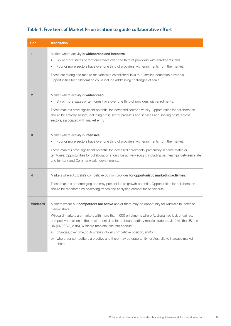| Tier            | <b>Description</b>                                                                                                                                                                                                                                                                                                                                                                                                                                                                                                                                                                                      |
|-----------------|---------------------------------------------------------------------------------------------------------------------------------------------------------------------------------------------------------------------------------------------------------------------------------------------------------------------------------------------------------------------------------------------------------------------------------------------------------------------------------------------------------------------------------------------------------------------------------------------------------|
| 1               | Market where activity is widespread and intensive.<br>Six or more states or territories have over one third of providers with enrolments; and<br>Y<br>Four or more sectors have over one third of providers with enrolments from the market.<br>Σ<br>These are strong and mature markets with established links to Australian education providers.<br>Opportunities for collaboration could include addressing challenges of scale.                                                                                                                                                                     |
| $\overline{2}$  | Market where activity is <b>widespread</b> .<br>Six or more states or territories have over one third of providers with enrolments.<br>×.<br>These markets have significant potential for increased sector diversity. Opportunities for collaboration<br>should be actively sought, including cross-sector products and services and sharing costs, across<br>sectors, associated with market entry.                                                                                                                                                                                                    |
| 3               | Market where activity is <i>intensive</i> .<br>Four or more sectors have over one third of providers with enrolments from the market.<br>×.<br>These markets have significant potential for increased enrolments, particularly in some states or<br>territories. Opportunities for collaboration should be actively sought, including partnerships between state<br>and territory, and Commonwealth governments.                                                                                                                                                                                        |
| 4               | Markets where Australia's competitive position provides for opportunistic marketing activities.<br>These markets are emerging and may present future growth potential. Opportunities for collaboration<br>should be monitored by observing trends and analysing competitor behaviours.                                                                                                                                                                                                                                                                                                                  |
| <b>Wildcard</b> | Markets where our <b>competitors are active</b> and/or there may be opportunity for Australia to increase<br>market share.<br>Wildcard markets are markets with more than 1,000 enrolments where Australia had lost, or gained,<br>competitive position in the most recent data for outbound tertiary mobile students, vis-à-vis the US and<br>UK (UNESCO, 2015). Wildcard markets take into account:<br>changes, over time, to Australia's global competitive position; and/or<br>a)<br>where our competitors are active and there may be opportunity for Australia to increase market<br>b)<br>share. |

# Table 1: Five tiers of Market Prioritisation to guide collaborative effort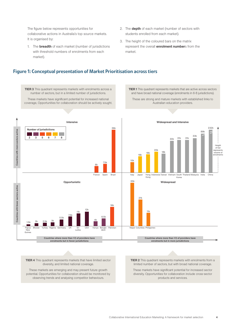The figure below represents opportunities for collaborative actions in Australia's top source markets. It is organised by:

- 1. The **breadth** of each market (number of jurisdictions with threshold numbers of enrolments from each market).
- 2. The **depth** of each market (number of sectors with students enrolled from each market).
- 3. The height of the coloured bars on the matrix represent the overall **enrolment number**s from the market.

#### Figure 1: Conceptual presentation of Market Prioritisation across tiers

**TIER 3** This quadrant represents markets with enrolments across a **TIER 1** This quadrant represents markets that are active across sectors number of sectors, but in a limited number of jurisdictions. and have broad national coverage (enrolments in 6-8 jurisdictions). These markets have significant potential for increased national These are strong and mature markets with established links to coverage, Opportunities for collaboration should be actively sought. Australian education providers. Intensive Widespread and Intensive 36k 232k Number of jurisdictions Countries with more sectors active Countries with more sectors active 88k m. a kacamatan ing Kabupatèn Bandar 33k 31k 31k  $\overline{2}$   $\overline{3}$   $\overline{5}$   $\overline{6}$   $\overline{7}$   $\overline{8}$ 30k Height of bar **20** represents 18k volume of  $16k$ enrolments  $10<sub>k</sub>$ 7.5k  $6k$ France Spain Brazil | Italy Japan Brazil Hong Indonesia Taiwan<br>Kong Japan Hong Indonesia Taiwan Vietnam South Thailand Malaysia India China Korea 35k Opportunistic and the contract of the contract of the contract of the contract of the contract of the contract of the contract of the contract of the contract of the contract of the contract of the contract of the contract Countries with fewer sectors active Countries with fewer sectors active 21k 16k  $11k$   $12k$ 11k  $7.5$  $6.5k$ 5.5k 4k 1.5k 2k 2.5k 3k Germany UK Sri USA Kenya Bangla- Pakistan | Nepal Columbia Philippines USA Kenya Papua Bhutan Turkey Nigeria Bangla-desh Lanka New Guinea Countries where more than 1/3 of providers have Countries where more than 1/3 of providers have enrolments but in fewer jurisdictions enrolments but in more jurisdictions

**TIER 4** This quadrant represents markets that have limited sector diversity, and limited national coverage.

These markets are emerging and may present future growth potential. Opportunities for collaboration should be monitored by observing trends and analysing competitor behaviours.

**TIER 2** This quadrant represents markets with enrolments from a limited number of sectors, but with broad national coverage.

These markets have significant potential for increased sector diversity. Opportunities for collaboration include cross-sector products and services.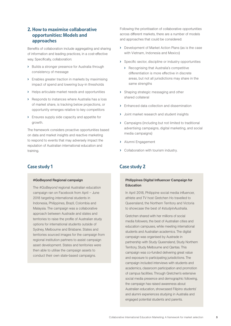#### 2. How to maximise collaborative opportunities: Models and approaches

Benefits of collaboration include aggregating and sharing of information and leading practices, in a cost-effective way. Specifically, collaboration:

- › Builds a stronger presence for Australia through consistency of message
- › Enables greater traction in markets by maximising impact of spend and lowering buy-in thresholds
- › Helps articulate market needs and opportunities
- › Responds to instances where Australia has a loss of market share, is tracking below projections, or opportunity emerges relative to key competitors
- › Ensures supply side capacity and appetite for growth.

The framework considers proactive opportunities based on data and market insights and reactive marketing to respond to events that may adversely impact the reputation of Australian international education and training.

#### #GoBeyond Regional campaign

The *#GoBeyond* regional Australian education campaign ran on Facebook from April – June 2018 targeting international students in Indonesia, Philippines, Brazil, Colombia and Malaysia. The campaign was a collaborative approach between Austrade and states and territories to raise the profile of Australian study options for international students outside of Sydney, Melbourne and Brisbane. States and territories sourced images for the campaign from regional institution partners to assist campaign asset development. States and territories were then able to utilise the campaign assets to conduct their own state-based campaigns.

Following the prioritisation of collaborative opportunities across different markets, there are a number of models and approaches that could be considered:

- › Development of Market Action Plans (as is the case with Vietnam, Indonesia and Mexico)
- › Specific sector, discipline or industry opportunities
	- › Recognising that Australia's competitive differentiation is more effective in discrete areas, but not all jurisdictions may share in the same strengths
- › Shaping strategic messaging and other shared collateral
- › Enhanced data collection and dissemination
- › Joint market research and student insights
- › Campaigns (including but not limited to traditional advertising campaigns, digital marketing, and social media campaigns)
- › Alumni Engagement
- › Collaboration with tourism industry.

### Case study 1 Case study 2

#### Philippines Digital Influencer Campaign for Education

In April 2018, Philippine social media influencer, athlete and TV host Gretchen Ho travelled to Queensland, the Northern Territory and Victoria to showcase the best of *#studyinAustralia*.

Gretchen shared with her millions of social media followers, the best of Australian cities and education campuses, while meeting international students and Australian academics. The digital campaign was organised by Austrade in partnership with Study Queensland, Study Northern Territory, Study Melbourne and Qantas. This campaign was co-funded delivering great value and exposure to participating jurisdictions. The campaign included interviews with students and academics, classroom participation and promotion of campus facilities. Through Gretchen's extensive social media presence and demographic following, the campaign has raised awareness about Australian education, showcased Filipino students' and alumni experiences studying in Australia and engaged potential students and parents.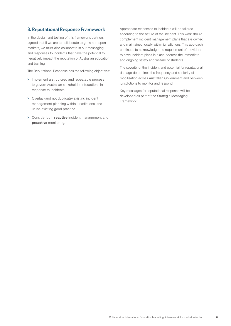#### 3. Reputational Response Framework

In the design and testing of this framework, partners agreed that if we are to collaborate to grow and open markets, we must also collaborate in our messaging and responses to incidents that have the potential to negatively impact the reputation of Australian education and training.

The Reputational Response has the following objectives:

- › Implement a structured and repeatable process to govern Australian stakeholder interactions in response to incidents.
- › Overlay (and not duplicate) existing incident management planning within jurisdictions, and utilise existing good practice.
- > Consider both **reactive** incident management and proactive monitoring.

Appropriate responses to incidents will be tailored according to the nature of the incident. This work should complement incident management plans that are owned and maintained locally within jurisdictions. This approach continues to acknowledge the requirement of providers to have incident plans in place address the immediate and ongoing safety and welfare of students.

The severity of the incident and potential for reputational damage determines the frequency and seniority of mobilisation across Australian Government and between jurisdictions to monitor and respond.

Key messages for reputational response will be developed as part of the Strategic Messaging Framework.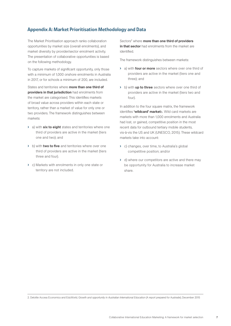## Appendix A: Market Prioritisation Methodology and Data

The Market Prioritisation approach ranks collaboration opportunities by market size (overall enrolments), and market diversity by provider/sector enrolment activity. The presentation of collaborative opportunities is based on the following methodology.

To capture markets of significant opportunity, only those with a minimum of 1,000 onshore enrolments in Australia in 2017, or for schools a minimum of 200, are included.

States and territories where **more than one third of providers in that jurisdiction** had enrolments from the market are categorised. This identifies markets of broad value across providers within each state or territory, rather than a market of value for only one or two providers. The framework distinguishes between markets:

- **>** a) with **six to eight** states and territories where one third of providers are active in the market (tiers one and two); and
- **>** b) with **two to five** and territories where over one third of providers are active in the market (tiers three and four).
- › c) Markets with enrolments in only one state or territory are not included.

Sectors<sup>2</sup> where **more than one third of providers** in that sector had enrolments from the market are identified.

The framework distinguishes between markets:

- **>** a) with **four or more** sectors where over one third of providers are active in the market (tiers one and three); and
- b) with up to three sectors where over one third of providers are active in the market (tiers two and four).

In addition to the four square matrix, the framework identifies 'wildcard' markets. Wild card markets are markets with more than 1,000 enrolments and Australia had lost, or gained, competitive position in the most recent data for outbound tertiary mobile students, vis-à-vis the US and UK (UNESCO, 2015). These wildcard markets take into account:

- › c) changes, over time, to Australia's global competitive position; and/or
- › d) where our competitors are active and there may be opportunity for Australia to increase market share.

2. Deloitte Access Economics and EduWorld, *Growth and opportunity in Australian International Education* (A report prepared for Austrade), December 2015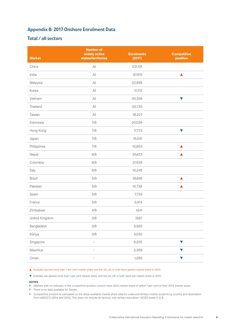# Appendix B: 2017 Onshore Enrolment Data

### Total / all sectors

| <b>Market</b>  | <b>Number of</b><br>widely active<br>states/territories | <b>Enrolments</b><br>(2017) | <b>Competitive</b><br>position |
|----------------|---------------------------------------------------------|-----------------------------|--------------------------------|
| China          | $\mathsf{All}$                                          | 231,191                     |                                |
| India          | All                                                     | 87,615                      | $\blacktriangle$               |
| Malaysia       | All                                                     | 32,899                      |                                |
| Korea          | $\mathsf{All}$                                          | 31,112                      |                                |
| Vietnam        | $\mathsf{All}$                                          | 30,356                      | $\blacktriangledown$           |
| Thailand       | $\mathsf{All}$                                          | 30,730                      |                                |
| Taiwan         | $\mathsf{All}$                                          | 18,227                      |                                |
| Indonesia      | 7/8                                                     | 20,028                      |                                |
| Hong Kong      | 7/8                                                     | 17,772                      | $\blacktriangledown$           |
| Japan          | 7/8                                                     | 16,041                      |                                |
| Philippines    | 7/8                                                     | 10,803                      | ▲                              |
| Nepal          | 6/8                                                     | 35,423                      | ▲                              |
| Colombia       | 6/8                                                     | 21,628                      |                                |
| Italy          | 6/8                                                     | 10,248                      |                                |
| <b>Brazil</b>  | 5/8                                                     | 36,496                      | ▲                              |
| Pakistan       | 5/8                                                     | 15,738                      | ▲                              |
| Spain          | 5/8                                                     | 7,729                       |                                |
| France         | 5/8                                                     | 5,914                       |                                |
| Zimbabwe       | 4/8                                                     | 1,441                       |                                |
| United Kingdom | 3/8                                                     | 7,497                       |                                |
| Bangladesh     | 3/8                                                     | 6,565                       |                                |
| Kenya          | 3/8                                                     | 4,035                       |                                |
| Singapore      | $\overline{\phantom{0}}$                                | 8,335                       | $\blacktriangledown$           |
| Mauritius      |                                                         | 2,389                       | $\blacktriangledown$           |
| Oman           |                                                         | 1,280                       | $\blacktriangledown$           |

#### A Australia has lost more than 1 per cent market share and the US, UK or both have gained market share in 2015.

#### t Australia has gained more than 1 per cent market share, and the US, UK or both have lost market share in 2015.

#### NOTES

> Markets with no indicator in the competitive position column have 2015 market share of within 1 per cent of their 2014 market share.

- > There is no data available for Taiwan.
- > Competitive position is calculated on the latest available market share data for outbound tertiary mobile students by country and destination from UNESCO (2014 and 2015). This does not include all sectors, only tertiary education- ISCED levels 5 to 8.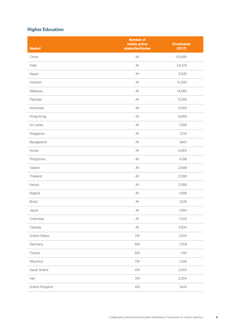# Higher Education

| <b>Market</b>        | <b>Number of</b><br>widely active<br>states/territories | <b>Enrolments</b><br>(2017) |
|----------------------|---------------------------------------------------------|-----------------------------|
| China                | $\left\ A\right\ $                                      | 133,891                     |
| India                | $\mathsf{All}$                                          | 54,376                      |
| Nepal                | $\mathsf{All}$                                          | 21,481                      |
| Vietnam              | All                                                     | 15,092                      |
| Malaysia             | $\mathsf{All}$                                          | 14,680                      |
| Pakistan             | $\mathsf{All}$                                          | 11,000                      |
| Indonesia            | All                                                     | 9,293                       |
| Hong Kong            | $\mathsf{All}$                                          | 8,888                       |
| Sri Lanka            | $\mathsf{All}$                                          | 7,566                       |
| Singapore            | $\mathsf{All}$                                          | 7,214                       |
| Bangladesh           | $\mathsf{All}$                                          | 5,401                       |
| Korea                | $\mathsf{All}$                                          | 5,083                       |
| Philippines          | All                                                     | 4,198                       |
| Taiwan               | $\mathsf{All}$                                          | 2,648                       |
| Thailand             | $\mathsf{All}$                                          | 2,586                       |
| Kenya                | $\mathsf{All}$                                          | 2,086                       |
| Nigeria              | $\mathsf{All}$                                          | 1,899                       |
| <b>Brazil</b>        | $\mathsf{All}$                                          | 1,639                       |
| Japan                | All                                                     | 1,594                       |
| Colombia             | $\mathsf{All}$                                          | 1,543                       |
| Canada               | $\mathsf{All}$                                          | 2.634                       |
| <b>United States</b> | 7/8                                                     | 2,815                       |
| Germany              | 6/8                                                     | 1,258                       |
| France               | $6/8$                                                   | 1,191                       |
| Mauritius            | 7/8                                                     | 1,026                       |
| Saudi Arabia         | 4/8                                                     | 4,003                       |
| Iran                 | 3/8                                                     | 2,304                       |
| United Kingdom       | 4/8                                                     | 1,444                       |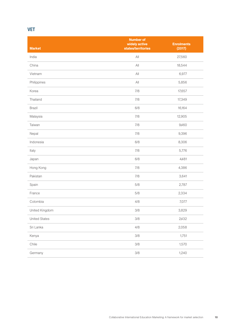# VET

| <b>Market</b>        | <b>Number of</b><br>widely active<br>states/territories | <b>Enrolments</b><br>(2017) |
|----------------------|---------------------------------------------------------|-----------------------------|
| India                | $\mathsf{All}$                                          | 27,560                      |
| China                | $\mathsf{All}$                                          | 18,544                      |
| Vietnam              | $\left\ A\right\ $                                      | 6,977                       |
|                      | $\mathsf{All}$                                          | 5,856                       |
| Philippines          |                                                         |                             |
| Korea                | 7/8                                                     | 17,657                      |
| Thailand             | 7/8                                                     | 17,349                      |
| <b>Brazil</b>        | 6/8                                                     | 16,164                      |
| Malaysia             | 7/8                                                     | 12,905                      |
| Taiwan               | 7/8                                                     | 9,460                       |
| Nepal                | 7/8                                                     | 9,396                       |
| Indonesia            | 6/8                                                     | 8,306                       |
| Italy                | 7/8                                                     | 5,776                       |
| Japan                | 6/8                                                     | 4,481                       |
| Hong Kong            | 7/8                                                     | 4,386                       |
| Pakistan             | 7/8                                                     | 3,641                       |
| Spain                | 5/8                                                     | 2,787                       |
| France               | 5/8                                                     | 2,334                       |
| Colombia             | 4/8                                                     | 7,077                       |
| United Kingdom       | 3/8                                                     | 3,829                       |
| <b>United States</b> | 3/8                                                     | 2,432                       |
| Sri Lanka            | 4/8                                                     | 2,058                       |
| Kenya                | 3/8                                                     | 1,751                       |
| Chile                | 3/8                                                     | 1,570                       |
| Germany              | 3/8                                                     | 1,240                       |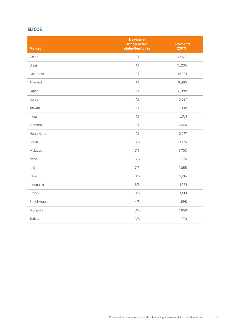# ELICOS

| <b>Market</b> | <b>Number of</b><br>widely active<br>states/territories | <b>Enrolments</b><br>(2017) |
|---------------|---------------------------------------------------------|-----------------------------|
| China         | $\mathsf{All}$                                          | 45,617                      |
| <b>Brazil</b> | $\mathsf{All}$                                          | 18,205                      |
| Colombia      | $\mathsf{All}$                                          | 12,901                      |
| Thailand      | All                                                     | 10,195                      |
| Japan         | All                                                     | 8,082                       |
| Korea         | $\mathsf{All}$                                          | 6,697                       |
| Taiwan        | All                                                     | 5,412                       |
| India         | All                                                     | 5,071                       |
| Vietnam       | All                                                     | 4,545                       |
| Hong Kong     | $\mathsf{All}$                                          | 2,077                       |
| Spain         | 6/8                                                     | 4,175                       |
| Malaysia      | 7/8                                                     | 3,703                       |
| Nepal         | 6/8                                                     | 3,176                       |
| Italy         | 7/8                                                     | 2,655                       |
| Chile         | 6/8                                                     | 2,104                       |
| Indonesia     | $6/8$                                                   | 1,361                       |
| France        | 6/8                                                     | 1,190                       |
| Saudi Arabia  | 4/8                                                     | 1,998                       |
| Mongolia      | 3/8                                                     | 1,659                       |
| Turkey        | 3/8                                                     | 1,270                       |